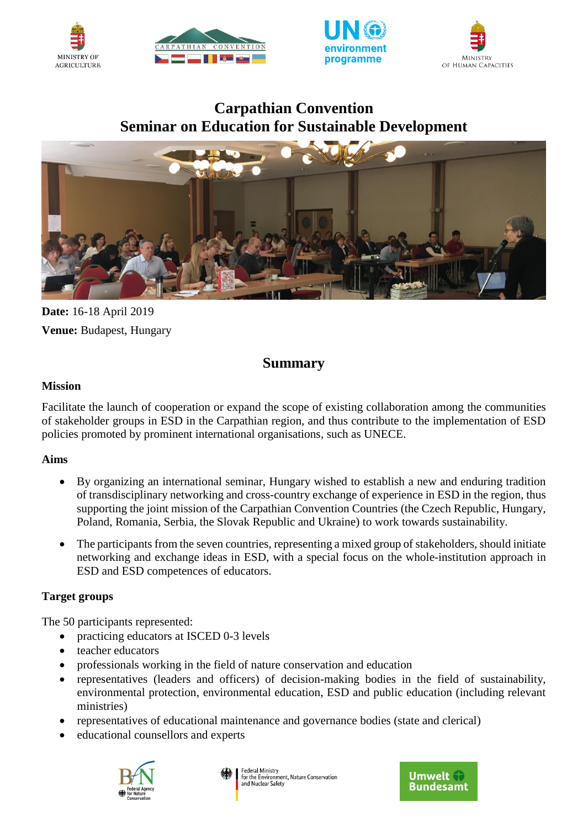







# **Carpathian Convention Seminar on Education for Sustainable Development**



**Date:** 16-18 April 2019 **Venue:** Budapest, Hungary

## **Summary**

### **Mission**

Facilitate the launch of cooperation or expand the scope of existing collaboration among the communities of stakeholder groups in ESD in the Carpathian region, and thus contribute to the implementation of ESD policies promoted by prominent international organisations, such as UNECE.

### **Aims**

- By organizing an international seminar, Hungary wished to establish a new and enduring tradition of transdisciplinary networking and cross-country exchange of experience in ESD in the region, thus supporting the joint mission of the Carpathian Convention Countries (the Czech Republic, Hungary, Poland, Romania, Serbia, the Slovak Republic and Ukraine) to work towards sustainability.
- The participants from the seven countries, representing a mixed group of stakeholders, should initiate networking and exchange ideas in ESD, with a special focus on the whole-institution approach in ESD and ESD competences of educators.

### **Target groups**

The 50 participants represented:

- practicing educators at ISCED 0-3 levels
- teacher educators
- professionals working in the field of nature conservation and education
- representatives (leaders and officers) of decision-making bodies in the field of sustainability, environmental protection, environmental education, ESD and public education (including relevant ministries)
- representatives of educational maintenance and governance bodies (state and clerical)
- educational counsellors and experts



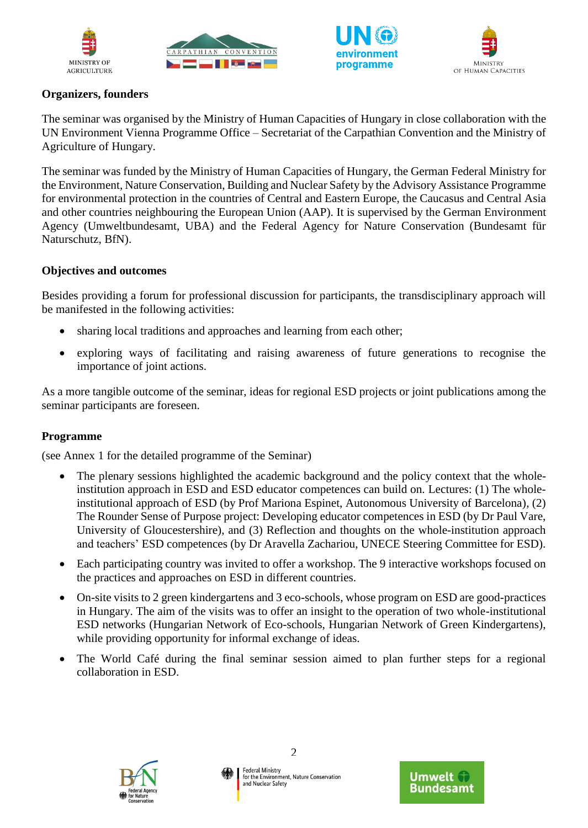







### **Organizers, founders**

The seminar was organised by the Ministry of Human Capacities of Hungary in close collaboration with the UN Environment Vienna Programme Office – Secretariat of the Carpathian Convention and the Ministry of Agriculture of Hungary.

The seminar was funded by the Ministry of Human Capacities of Hungary, the German Federal Ministry for the Environment, Nature Conservation, Building and Nuclear Safety by the Advisory Assistance Programme for environmental protection in the countries of Central and Eastern Europe, the Caucasus and Central Asia and other countries neighbouring the European Union (AAP). It is supervised by the German Environment Agency (Umweltbundesamt, UBA) and the Federal Agency for Nature Conservation (Bundesamt für Naturschutz, BfN).

#### **Objectives and outcomes**

Besides providing a forum for professional discussion for participants, the transdisciplinary approach will be manifested in the following activities:

- sharing local traditions and approaches and learning from each other;
- exploring ways of facilitating and raising awareness of future generations to recognise the importance of joint actions.

As a more tangible outcome of the seminar, ideas for regional ESD projects or joint publications among the seminar participants are foreseen.

#### **Programme**

(see Annex 1 for the detailed programme of the Seminar)

- The plenary sessions highlighted the academic background and the policy context that the wholeinstitution approach in ESD and ESD educator competences can build on. Lectures: (1) The wholeinstitutional approach of ESD (by Prof Mariona Espinet, Autonomous University of Barcelona), (2) The Rounder Sense of Purpose project: Developing educator competences in ESD (by Dr Paul Vare, University of Gloucestershire), and (3) Reflection and thoughts on the whole-institution approach and teachers' ESD competences (by Dr Aravella Zachariou, UNECE Steering Committee for ESD).
- Each participating country was invited to offer a workshop. The 9 interactive workshops focused on the practices and approaches on ESD in different countries.
- On-site visits to 2 green kindergartens and 3 eco-schools, whose program on ESD are good-practices in Hungary. The aim of the visits was to offer an insight to the operation of two whole-institutional ESD networks (Hungarian Network of Eco-schools, Hungarian Network of Green Kindergartens), while providing opportunity for informal exchange of ideas.
- The World Café during the final seminar session aimed to plan further steps for a regional collaboration in ESD.



2

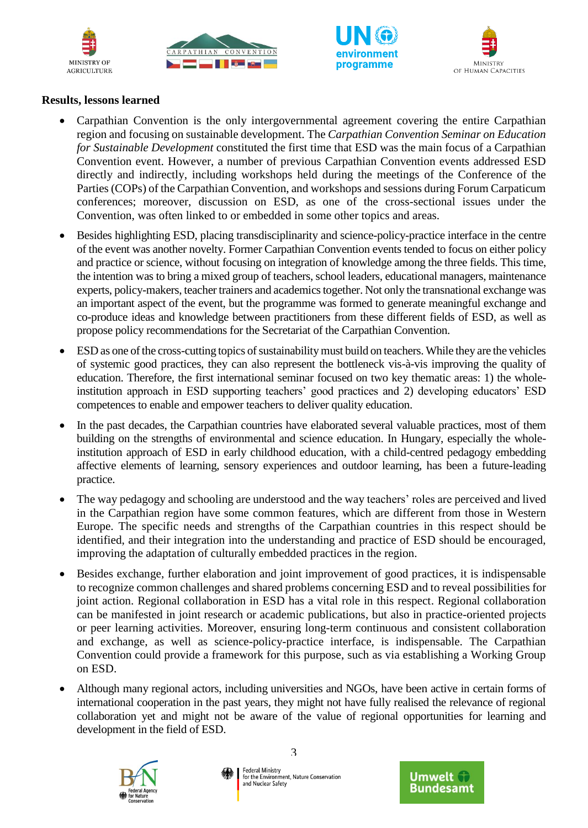







#### **Results, lessons learned**

- Carpathian Convention is the only intergovernmental agreement covering the entire Carpathian region and focusing on sustainable development. The *Carpathian Convention Seminar on Education for Sustainable Development* constituted the first time that ESD was the main focus of a Carpathian Convention event. However, a number of previous Carpathian Convention events addressed ESD directly and indirectly, including workshops held during the meetings of the Conference of the Parties (COPs) of the Carpathian Convention, and workshops and sessions during Forum Carpaticum conferences; moreover, discussion on ESD, as one of the cross-sectional issues under the Convention, was often linked to or embedded in some other topics and areas.
- Besides highlighting ESD, placing transdisciplinarity and science-policy-practice interface in the centre of the event was another novelty. Former Carpathian Convention events tended to focus on either policy and practice or science, without focusing on integration of knowledge among the three fields. This time, the intention was to bring a mixed group of teachers, school leaders, educational managers, maintenance experts, policy-makers, teacher trainers and academics together. Not only the transnational exchange was an important aspect of the event, but the programme was formed to generate meaningful exchange and co-produce ideas and knowledge between practitioners from these different fields of ESD, as well as propose policy recommendations for the Secretariat of the Carpathian Convention.
- ESD as one of the cross-cutting topics of sustainability must build on teachers. While they are the vehicles of systemic good practices, they can also represent the bottleneck vis-à-vis improving the quality of education. Therefore, the first international seminar focused on two key thematic areas: 1) the wholeinstitution approach in ESD supporting teachers' good practices and 2) developing educators' ESD competences to enable and empower teachers to deliver quality education.
- In the past decades, the Carpathian countries have elaborated several valuable practices, most of them building on the strengths of environmental and science education. In Hungary, especially the wholeinstitution approach of ESD in early childhood education, with a child-centred pedagogy embedding affective elements of learning, sensory experiences and outdoor learning, has been a future-leading practice.
- The way pedagogy and schooling are understood and the way teachers' roles are perceived and lived in the Carpathian region have some common features, which are different from those in Western Europe. The specific needs and strengths of the Carpathian countries in this respect should be identified, and their integration into the understanding and practice of ESD should be encouraged, improving the adaptation of culturally embedded practices in the region.
- Besides exchange, further elaboration and joint improvement of good practices, it is indispensable to recognize common challenges and shared problems concerning ESD and to reveal possibilities for joint action. Regional collaboration in ESD has a vital role in this respect. Regional collaboration can be manifested in joint research or academic publications, but also in practice-oriented projects or peer learning activities. Moreover, ensuring long-term continuous and consistent collaboration and exchange, as well as science-policy-practice interface, is indispensable. The Carpathian Convention could provide a framework for this purpose, such as via establishing a Working Group on ESD.
- Although many regional actors, including universities and NGOs, have been active in certain forms of international cooperation in the past years, they might not have fully realised the relevance of regional collaboration yet and might not be aware of the value of regional opportunities for learning and development in the field of ESD.



3